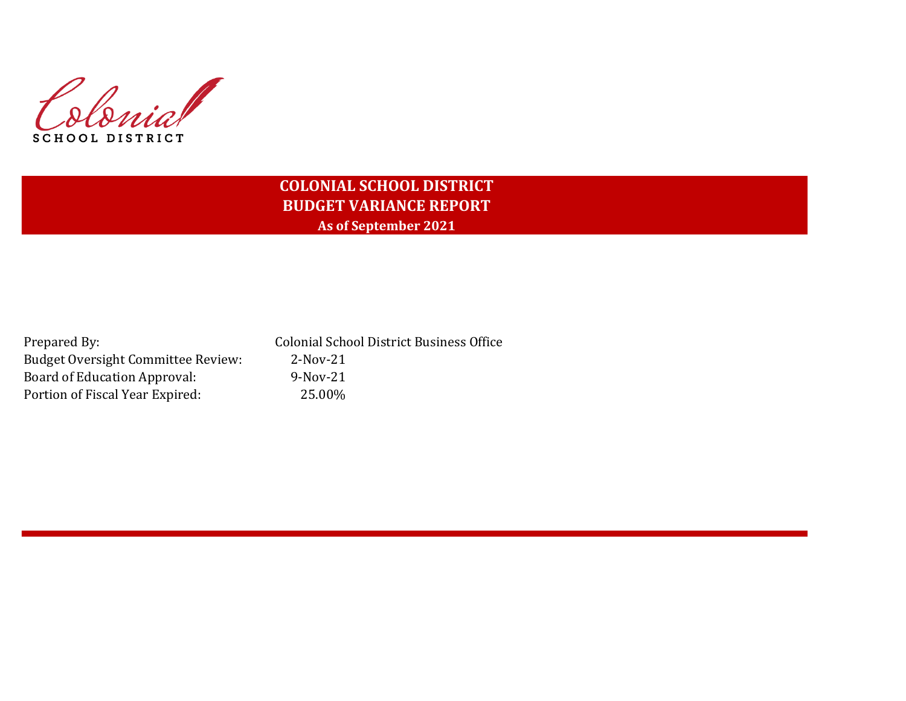Colonial SCHOOL DISTRICT

# **COLONIAL SCHOOL DISTRICT BUDGET VARIANCE REPORT As of September 2021**

| Prepared By:                              | <b>Colonial School District Business Office</b> |
|-------------------------------------------|-------------------------------------------------|
| <b>Budget Oversight Committee Review:</b> | 2-Nov-21                                        |
| Board of Education Approval:              | 9-Nov-21                                        |
| Portion of Fiscal Year Expired:           | 25.00%                                          |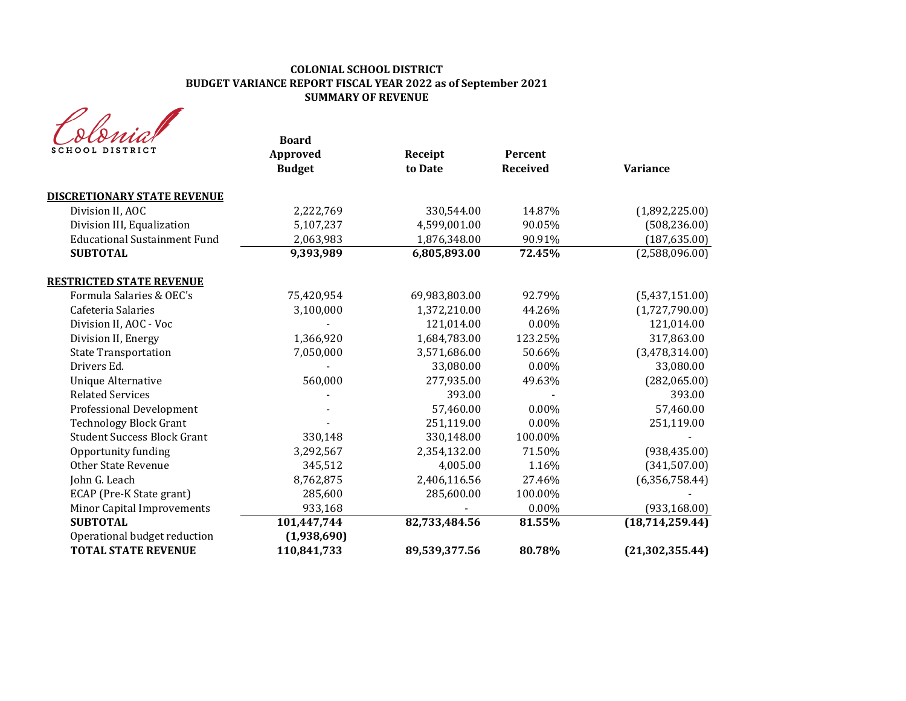# **COLONIAL SCHOOL DISTRICT BUDGET VARIANCE REPORT FISCAL YEAR 2022 as of September 2021 SUMMARY OF REVENUE**

| SCHOOL DISTRICT                                            | <b>Board</b><br>Approved<br><b>Budget</b> | Receipt<br>to Date | Percent<br><b>Received</b> | <b>Variance</b>   |
|------------------------------------------------------------|-------------------------------------------|--------------------|----------------------------|-------------------|
| <b>DISCRETIONARY STATE REVENUE</b>                         |                                           |                    |                            |                   |
| Division II, AOC                                           | 2,222,769                                 | 330,544.00         | 14.87%                     | (1,892,225.00)    |
| Division III, Equalization                                 | 5,107,237                                 | 4,599,001.00       | 90.05%                     | (508, 236.00)     |
| <b>Educational Sustainment Fund</b>                        | 2,063,983                                 | 1,876,348.00       | 90.91%                     | (187, 635.00)     |
| <b>SUBTOTAL</b>                                            | 9,393,989                                 | 6,805,893.00       | 72.45%                     | (2,588,096.00)    |
| <b>RESTRICTED STATE REVENUE</b>                            |                                           |                    |                            |                   |
| Formula Salaries & OEC's                                   | 75,420,954                                | 69,983,803.00      | 92.79%                     | (5,437,151.00)    |
| Cafeteria Salaries                                         | 3,100,000                                 | 1,372,210.00       | 44.26%                     | (1,727,790.00)    |
| Division II, AOC - Voc                                     |                                           | 121,014.00         | $0.00\%$                   | 121,014.00        |
| Division II, Energy                                        | 1,366,920                                 | 1,684,783.00       | 123.25%                    | 317,863.00        |
| <b>State Transportation</b>                                | 7,050,000                                 | 3,571,686.00       | 50.66%                     | (3,478,314.00)    |
| Drivers Ed.                                                |                                           | 33,080.00          | 0.00%                      | 33,080.00         |
| <b>Unique Alternative</b>                                  | 560,000                                   | 277,935.00         | 49.63%                     | (282,065.00)      |
| <b>Related Services</b>                                    |                                           | 393.00             |                            | 393.00            |
| Professional Development                                   |                                           | 57,460.00          | $0.00\%$                   | 57,460.00         |
| <b>Technology Block Grant</b>                              |                                           | 251,119.00         | $0.00\%$                   | 251,119.00        |
| <b>Student Success Block Grant</b>                         | 330,148                                   | 330,148.00         | 100.00%                    |                   |
| Opportunity funding                                        | 3,292,567                                 | 2,354,132.00       | 71.50%                     | (938, 435.00)     |
| <b>Other State Revenue</b>                                 | 345,512                                   | 4,005.00           | 1.16%                      | (341, 507.00)     |
| John G. Leach                                              | 8,762,875                                 | 2,406,116.56       | 27.46%                     | (6,356,758.44)    |
| ECAP (Pre-K State grant)                                   | 285,600                                   | 285,600.00         | 100.00%                    |                   |
| Minor Capital Improvements                                 | 933,168                                   |                    | 0.00%                      | (933, 168.00)     |
| <b>SUBTOTAL</b>                                            | 101,447,744                               | 82,733,484.56      | 81.55%                     | (18,714,259.44)   |
| Operational budget reduction<br><b>TOTAL STATE REVENUE</b> | (1,938,690)<br>110,841,733                | 89,539,377.56      | 80.78%                     | (21, 302, 355.44) |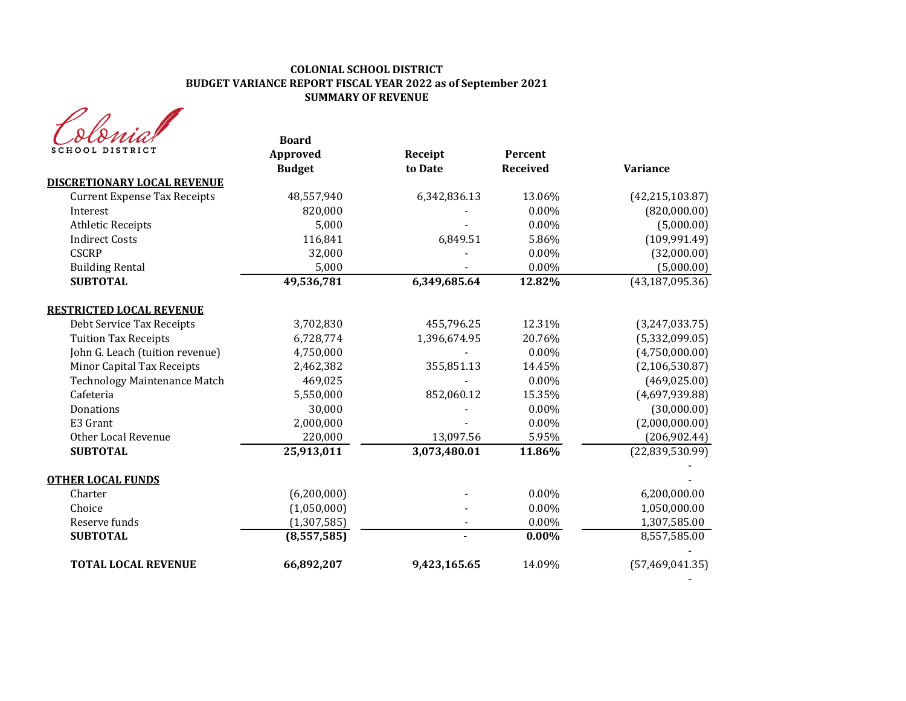# **COLONIAL SCHOOL DISTRICT BUDGET VARIANCE REPORT FISCAL YEAR 2022 as of September 2021 SUMMARY OF REVENUE**

| MA              |
|-----------------|
| SCHOOL DISTRICT |

| <u>otoma</u><br>SCHOOL DISTRICT     | <b>Board</b>              |                    |                     |                   |
|-------------------------------------|---------------------------|--------------------|---------------------|-------------------|
|                                     | Approved<br><b>Budget</b> | Receipt<br>to Date | Percent<br>Received | <b>Variance</b>   |
| <b>DISCRETIONARY LOCAL REVENUE</b>  |                           |                    |                     |                   |
| <b>Current Expense Tax Receipts</b> | 48,557,940                | 6,342,836.13       | 13.06%              | (42, 215, 103.87) |
| Interest                            | 820,000                   |                    | 0.00%               | (820,000.00)      |
| <b>Athletic Receipts</b>            | 5,000                     |                    | 0.00%               | (5,000.00)        |
| <b>Indirect Costs</b>               | 116,841                   | 6,849.51           | 5.86%               | (109, 991.49)     |
| <b>CSCRP</b>                        | 32,000                    |                    | 0.00%               | (32,000.00)       |
| <b>Building Rental</b>              | 5,000                     |                    | 0.00%               | (5,000.00)        |
| <b>SUBTOTAL</b>                     | 49,536,781                | 6,349,685.64       | 12.82%              | (43, 187, 095.36) |
| <b>RESTRICTED LOCAL REVENUE</b>     |                           |                    |                     |                   |
| Debt Service Tax Receipts           | 3,702,830                 | 455,796.25         | 12.31%              | (3,247,033.75)    |
| <b>Tuition Tax Receipts</b>         | 6,728,774                 | 1,396,674.95       | 20.76%              | (5,332,099.05)    |
| John G. Leach (tuition revenue)     | 4,750,000                 |                    | 0.00%               | (4,750,000.00)    |
| Minor Capital Tax Receipts          | 2,462,382                 | 355,851.13         | 14.45%              | (2, 106, 530.87)  |
| <b>Technology Maintenance Match</b> | 469,025                   |                    | 0.00%               | (469, 025.00)     |
| Cafeteria                           | 5,550,000                 | 852,060.12         | 15.35%              | (4,697,939.88)    |
| Donations                           | 30,000                    |                    | 0.00%               | (30,000.00)       |
| E3 Grant                            | 2,000,000                 |                    | $0.00\%$            | (2,000,000.00)    |
| Other Local Revenue                 | 220,000                   | 13,097.56          | 5.95%               | (206, 902.44)     |
| <b>SUBTOTAL</b>                     | 25,913,011                | 3,073,480.01       | 11.86%              | (22, 839, 530.99) |
| <b>OTHER LOCAL FUNDS</b>            |                           |                    |                     |                   |
| Charter                             | (6,200,000)               |                    | 0.00%               | 6,200,000.00      |
| Choice                              | (1,050,000)               |                    | 0.00%               | 1,050,000.00      |
| Reserve funds                       | (1, 307, 585)             |                    | $0.00\%$            | 1,307,585.00      |
| <b>SUBTOTAL</b>                     | (8,557,585)               |                    | $0.00\%$            | 8,557,585.00      |
| <b>TOTAL LOCAL REVENUE</b>          | 66,892,207                | 9,423,165.65       | 14.09%              | (57, 469, 041.35) |

- 1990 - 1990 - 1990 - 1990 - 1991 - 1992<br>1992 - 1992 - 1992 - 1992 - 1992 - 1992 - 1992 - 1992 - 1992 - 1992 - 1992 - 1992 - 1992 - 1992 - 1992 - 1992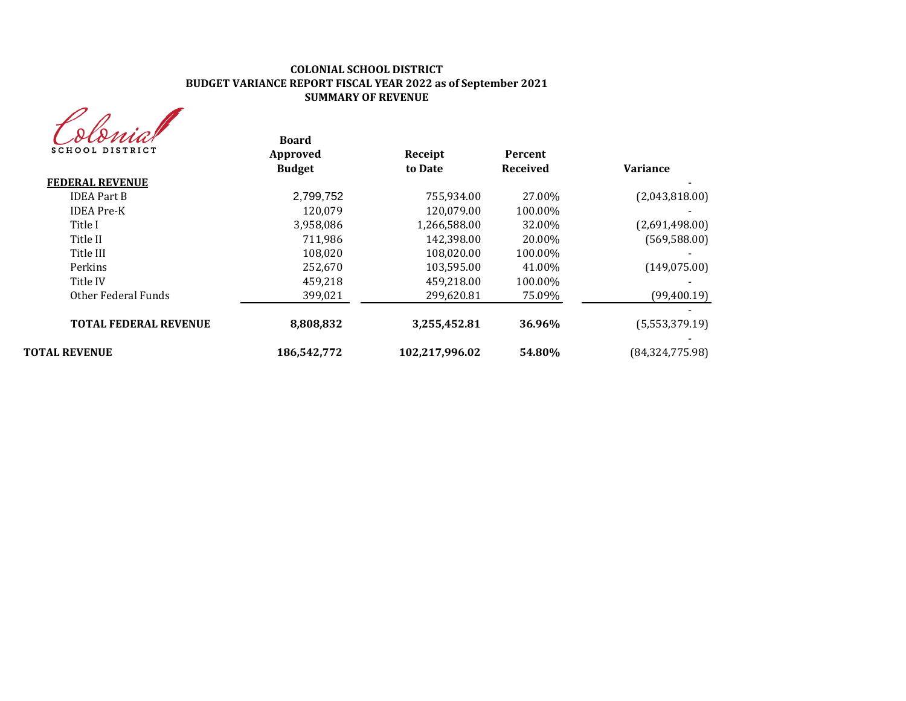#### **COLONIAL SCHOOL DISTRICT BUDGET VARIANCE REPORT FISCAL YEAR 2022 as of September 2021 SUMMARY OF REVENUE**



| Sconiar<br><b>SCHOOL DISTRICT</b> | <b>Board</b><br>Approved | Receipt        | Percent         |                   |
|-----------------------------------|--------------------------|----------------|-----------------|-------------------|
|                                   | <b>Budget</b>            | to Date        | <b>Received</b> | <b>Variance</b>   |
| <b>FEDERAL REVENUE</b>            |                          |                |                 |                   |
| <b>IDEA Part B</b>                | 2,799,752                | 755,934.00     | 27.00%          | (2,043,818.00)    |
| <b>IDEA</b> Pre-K                 | 120.079                  | 120,079.00     | 100.00%         |                   |
| Title I                           | 3,958,086                | 1,266,588.00   | 32.00%          | (2,691,498.00)    |
| Title II                          | 711.986                  | 142.398.00     | 20.00%          | (569, 588.00)     |
| Title III                         | 108,020                  | 108,020.00     | 100.00%         |                   |
| Perkins                           | 252.670                  | 103.595.00     | 41.00%          | (149, 075.00)     |
| Title IV                          | 459,218                  | 459,218.00     | 100.00%         |                   |
| Other Federal Funds               | 399,021                  | 299,620.81     | 75.09%          | (99,400.19)       |
| <b>TOTAL FEDERAL REVENUE</b>      | 8,808,832                | 3,255,452.81   | 36.96%          | (5,553,379.19)    |
| <b>TOTAL REVENUE</b>              | 186,542,772              | 102,217,996.02 | 54.80%          | (84, 324, 775.98) |
|                                   |                          |                |                 |                   |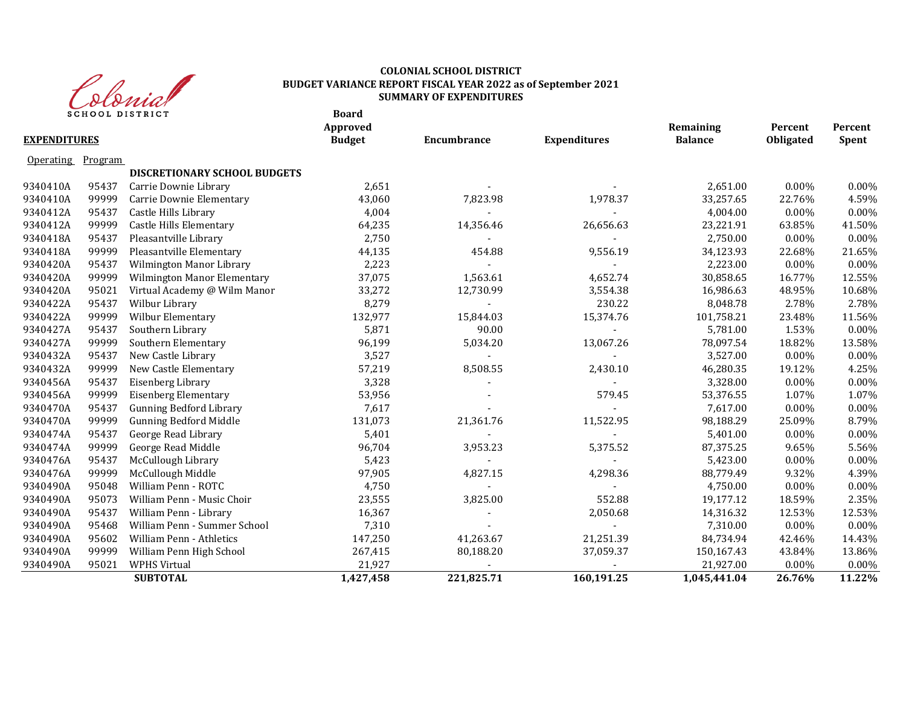

### **COLONIAL SCHOOL DISTRICT BUDGET VARIANCE REPORT FISCAL YEAR 2022 as of September 2021 SUMMARY OF EXPENDITURES**

|                     |         | <b>SCHOOL DISTRICT</b>              | <b>Board</b><br>Approved |             |                     | Remaining      | Percent   | Percent      |
|---------------------|---------|-------------------------------------|--------------------------|-------------|---------------------|----------------|-----------|--------------|
| <b>EXPENDITURES</b> |         |                                     | <b>Budget</b>            | Encumbrance | <b>Expenditures</b> | <b>Balance</b> | Obligated | <b>Spent</b> |
| <b>Operating</b>    | Program |                                     |                          |             |                     |                |           |              |
|                     |         | <b>DISCRETIONARY SCHOOL BUDGETS</b> |                          |             |                     |                |           |              |
| 9340410A            | 95437   | Carrie Downie Library               | 2,651                    |             |                     | 2,651.00       | 0.00%     | 0.00%        |
| 9340410A            | 99999   | Carrie Downie Elementary            | 43,060                   | 7,823.98    | 1,978.37            | 33,257.65      | 22.76%    | 4.59%        |
| 9340412A            | 95437   | Castle Hills Library                | 4,004                    |             |                     | 4,004.00       | 0.00%     | 0.00%        |
| 9340412A            | 99999   | Castle Hills Elementary             | 64,235                   | 14,356.46   | 26,656.63           | 23,221.91      | 63.85%    | 41.50%       |
| 9340418A            | 95437   | Pleasantville Library               | 2,750                    |             |                     | 2,750.00       | 0.00%     | 0.00%        |
| 9340418A            | 99999   | Pleasantville Elementary            | 44,135                   | 454.88      | 9,556.19            | 34,123.93      | 22.68%    | 21.65%       |
| 9340420A            | 95437   | Wilmington Manor Library            | 2,223                    |             |                     | 2,223.00       | 0.00%     | $0.00\%$     |
| 9340420A            | 99999   | Wilmington Manor Elementary         | 37,075                   | 1,563.61    | 4,652.74            | 30,858.65      | 16.77%    | 12.55%       |
| 9340420A            | 95021   | Virtual Academy @ Wilm Manor        | 33,272                   | 12,730.99   | 3,554.38            | 16,986.63      | 48.95%    | 10.68%       |
| 9340422A            | 95437   | Wilbur Library                      | 8,279                    |             | 230.22              | 8,048.78       | 2.78%     | 2.78%        |
| 9340422A            | 99999   | Wilbur Elementary                   | 132,977                  | 15,844.03   | 15,374.76           | 101,758.21     | 23.48%    | 11.56%       |
| 9340427A            | 95437   | Southern Library                    | 5,871                    | 90.00       |                     | 5,781.00       | 1.53%     | 0.00%        |
| 9340427A            | 99999   | Southern Elementary                 | 96,199                   | 5,034.20    | 13,067.26           | 78,097.54      | 18.82%    | 13.58%       |
| 9340432A            | 95437   | New Castle Library                  | 3,527                    |             |                     | 3,527.00       | 0.00%     | 0.00%        |
| 9340432A            | 99999   | New Castle Elementary               | 57,219                   | 8,508.55    | 2,430.10            | 46,280.35      | 19.12%    | 4.25%        |
| 9340456A            | 95437   | Eisenberg Library                   | 3,328                    |             |                     | 3,328.00       | 0.00%     | 0.00%        |
| 9340456A            | 99999   | <b>Eisenberg Elementary</b>         | 53,956                   |             | 579.45              | 53,376.55      | 1.07%     | 1.07%        |
| 9340470A            | 95437   | <b>Gunning Bedford Library</b>      | 7,617                    |             |                     | 7,617.00       | 0.00%     | 0.00%        |
| 9340470A            | 99999   | <b>Gunning Bedford Middle</b>       | 131,073                  | 21,361.76   | 11,522.95           | 98,188.29      | 25.09%    | 8.79%        |
| 9340474A            | 95437   | George Read Library                 | 5,401                    |             |                     | 5,401.00       | 0.00%     | 0.00%        |
| 9340474A            | 99999   | George Read Middle                  | 96,704                   | 3,953.23    | 5,375.52            | 87,375.25      | 9.65%     | 5.56%        |
| 9340476A            | 95437   | McCullough Library                  | 5,423                    |             |                     | 5,423.00       | 0.00%     | 0.00%        |
| 9340476A            | 99999   | McCullough Middle                   | 97,905                   | 4,827.15    | 4,298.36            | 88,779.49      | 9.32%     | 4.39%        |
| 9340490A            | 95048   | William Penn - ROTC                 | 4,750                    |             |                     | 4,750.00       | 0.00%     | 0.00%        |
| 9340490A            | 95073   | William Penn - Music Choir          | 23,555                   | 3,825.00    | 552.88              | 19,177.12      | 18.59%    | 2.35%        |
| 9340490A            | 95437   | William Penn - Library              | 16,367                   |             | 2,050.68            | 14,316.32      | 12.53%    | 12.53%       |
| 9340490A            | 95468   | William Penn - Summer School        | 7,310                    |             |                     | 7,310.00       | 0.00%     | 0.00%        |
| 9340490A            | 95602   | William Penn - Athletics            | 147,250                  | 41,263.67   | 21,251.39           | 84,734.94      | 42.46%    | 14.43%       |
| 9340490A            | 99999   | William Penn High School            | 267,415                  | 80,188.20   | 37,059.37           | 150,167.43     | 43.84%    | 13.86%       |
| 9340490A            | 95021   | <b>WPHS Virtual</b>                 | 21,927                   |             |                     | 21,927.00      | 0.00%     | 0.00%        |
|                     |         | <b>SUBTOTAL</b>                     | 1,427,458                | 221,825.71  | 160,191.25          | 1,045,441.04   | 26.76%    | 11.22%       |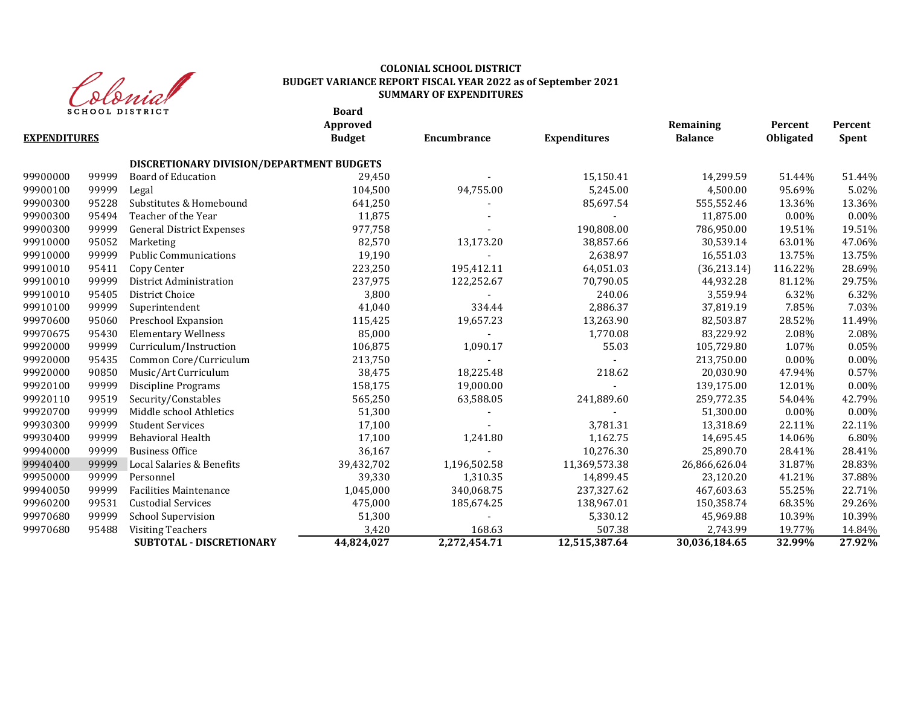

# **COLONIAL SCHOOL DISTRICT BUDGET VARIANCE REPORT FISCAL YEAR 2022 as of September 2021 SUMMARY OF EXPENDITURES**

**Board**

|                     |       |                                           | Approved      |              |                     | Remaining      | Percent   | Percent  |
|---------------------|-------|-------------------------------------------|---------------|--------------|---------------------|----------------|-----------|----------|
| <b>EXPENDITURES</b> |       |                                           | <b>Budget</b> | Encumbrance  | <b>Expenditures</b> | <b>Balance</b> | Obligated | Spent    |
|                     |       | DISCRETIONARY DIVISION/DEPARTMENT BUDGETS |               |              |                     |                |           |          |
| 99900000            | 99999 | <b>Board of Education</b>                 | 29,450        |              | 15,150.41           | 14,299.59      | 51.44%    | 51.44%   |
| 99900100            | 99999 | Legal                                     | 104,500       | 94,755.00    | 5,245.00            | 4,500.00       | 95.69%    | 5.02%    |
| 99900300            | 95228 | Substitutes & Homebound                   | 641,250       |              | 85,697.54           | 555,552.46     | 13.36%    | 13.36%   |
| 99900300            | 95494 | Teacher of the Year                       | 11,875        |              |                     | 11,875.00      | $0.00\%$  | 0.00%    |
| 99900300            | 99999 | <b>General District Expenses</b>          | 977,758       |              | 190,808.00          | 786,950.00     | 19.51%    | 19.51%   |
| 99910000            | 95052 | Marketing                                 | 82,570        | 13,173.20    | 38,857.66           | 30,539.14      | 63.01%    | 47.06%   |
| 99910000            | 99999 | <b>Public Communications</b>              | 19,190        |              | 2,638.97            | 16,551.03      | 13.75%    | 13.75%   |
| 99910010            | 95411 | Copy Center                               | 223,250       | 195,412.11   | 64,051.03           | (36,213.14)    | 116.22%   | 28.69%   |
| 99910010            | 99999 | District Administration                   | 237,975       | 122,252.67   | 70,790.05           | 44,932.28      | 81.12%    | 29.75%   |
| 99910010            | 95405 | District Choice                           | 3,800         |              | 240.06              | 3,559.94       | 6.32%     | 6.32%    |
| 99910100            | 99999 | Superintendent                            | 41,040        | 334.44       | 2,886.37            | 37,819.19      | 7.85%     | 7.03%    |
| 99970600            | 95060 | Preschool Expansion                       | 115,425       | 19,657.23    | 13,263.90           | 82,503.87      | 28.52%    | 11.49%   |
| 99970675            | 95430 | <b>Elementary Wellness</b>                | 85,000        |              | 1,770.08            | 83,229.92      | 2.08%     | 2.08%    |
| 99920000            | 99999 | Curriculum/Instruction                    | 106,875       | 1,090.17     | 55.03               | 105,729.80     | 1.07%     | 0.05%    |
| 99920000            | 95435 | Common Core/Curriculum                    | 213,750       |              |                     | 213,750.00     | $0.00\%$  | 0.00%    |
| 99920000            | 90850 | Music/Art Curriculum                      | 38,475        | 18,225.48    | 218.62              | 20,030.90      | 47.94%    | 0.57%    |
| 99920100            | 99999 | Discipline Programs                       | 158,175       | 19,000.00    |                     | 139,175.00     | 12.01%    | 0.00%    |
| 99920110            | 99519 | Security/Constables                       | 565,250       | 63,588.05    | 241,889.60          | 259,772.35     | 54.04%    | 42.79%   |
| 99920700            | 99999 | Middle school Athletics                   | 51,300        |              |                     | 51,300.00      | $0.00\%$  | $0.00\%$ |
| 99930300            | 99999 | <b>Student Services</b>                   | 17,100        |              | 3,781.31            | 13,318.69      | 22.11%    | 22.11%   |
| 99930400            | 99999 | Behavioral Health                         | 17,100        | 1,241.80     | 1,162.75            | 14,695.45      | 14.06%    | 6.80%    |
| 99940000            | 99999 | <b>Business Office</b>                    | 36,167        |              | 10,276.30           | 25,890.70      | 28.41%    | 28.41%   |
| 99940400            | 99999 | Local Salaries & Benefits                 | 39,432,702    | 1,196,502.58 | 11,369,573.38       | 26,866,626.04  | 31.87%    | 28.83%   |
| 99950000            | 99999 | Personnel                                 | 39,330        | 1,310.35     | 14,899.45           | 23,120.20      | 41.21%    | 37.88%   |
| 99940050            | 99999 | <b>Facilities Maintenance</b>             | 1,045,000     | 340,068.75   | 237,327.62          | 467,603.63     | 55.25%    | 22.71%   |
| 99960200            | 99531 | <b>Custodial Services</b>                 | 475,000       | 185,674.25   | 138,967.01          | 150,358.74     | 68.35%    | 29.26%   |
| 99970680            | 99999 | <b>School Supervision</b>                 | 51,300        |              | 5,330.12            | 45,969.88      | 10.39%    | 10.39%   |
| 99970680            | 95488 | <b>Visiting Teachers</b>                  | 3,420         | 168.63       | 507.38              | 2,743.99       | 19.77%    | 14.84%   |
|                     |       | <b>SUBTOTAL - DISCRETIONARY</b>           | 44,824,027    | 2,272,454.71 | 12,515,387.64       | 30,036,184.65  | 32.99%    | 27.92%   |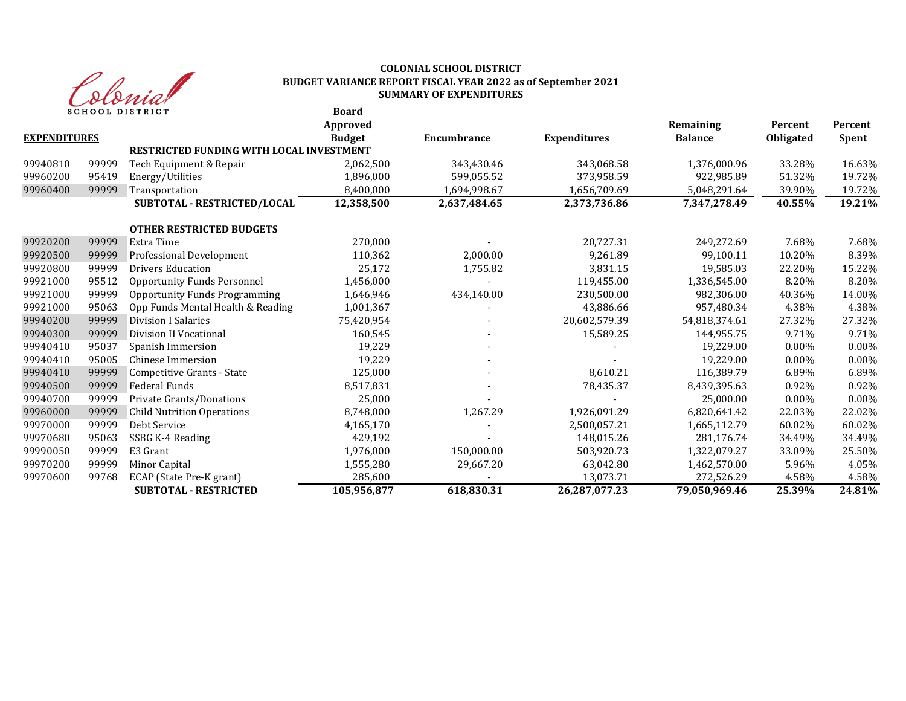

#### **Board COLONIAL SCHOOL DISTRICT BUDGET VARIANCE REPORT FISCAL YEAR 2022 as of September 2021 SUMMARY OF EXPENDITURES**

|                     | SCHOOL DISIKICI |                                          | boaru<br>Approved |              |                     | Remaining      | Percent   | Percent      |
|---------------------|-----------------|------------------------------------------|-------------------|--------------|---------------------|----------------|-----------|--------------|
| <b>EXPENDITURES</b> |                 |                                          | <b>Budget</b>     | Encumbrance  | <b>Expenditures</b> | <b>Balance</b> | Obligated | <b>Spent</b> |
|                     |                 | RESTRICTED FUNDING WITH LOCAL INVESTMENT |                   |              |                     |                |           |              |
| 99940810            | 99999           | Tech Equipment & Repair                  | 2,062,500         | 343,430.46   | 343,068.58          | 1,376,000.96   | 33.28%    | 16.63%       |
| 99960200            | 95419           | Energy/Utilities                         | 1,896,000         | 599,055.52   | 373,958.59          | 922,985.89     | 51.32%    | 19.72%       |
| 99960400            | 99999           | Transportation                           | 8,400,000         | 1,694,998.67 | 1,656,709.69        | 5,048,291.64   | 39.90%    | 19.72%       |
|                     |                 | SUBTOTAL - RESTRICTED/LOCAL              | 12,358,500        | 2,637,484.65 | 2,373,736.86        | 7,347,278.49   | 40.55%    | 19.21%       |
|                     |                 | <b>OTHER RESTRICTED BUDGETS</b>          |                   |              |                     |                |           |              |
| 99920200            | 99999           | Extra Time                               | 270,000           |              | 20,727.31           | 249,272.69     | 7.68%     | 7.68%        |
| 99920500            | 99999           | Professional Development                 | 110,362           | 2,000.00     | 9,261.89            | 99,100.11      | 10.20%    | 8.39%        |
| 99920800            | 99999           | <b>Drivers Education</b>                 | 25,172            | 1,755.82     | 3,831.15            | 19,585.03      | 22.20%    | 15.22%       |
| 99921000            | 95512           | <b>Opportunity Funds Personnel</b>       | 1,456,000         |              | 119,455.00          | 1,336,545.00   | 8.20%     | 8.20%        |
| 99921000            | 99999           | <b>Opportunity Funds Programming</b>     | 1,646,946         | 434,140.00   | 230,500.00          | 982,306.00     | 40.36%    | 14.00%       |
| 99921000            | 95063           | Opp Funds Mental Health & Reading        | 1,001,367         |              | 43,886.66           | 957,480.34     | 4.38%     | 4.38%        |
| 99940200            | 99999           | <b>Division I Salaries</b>               | 75,420,954        |              | 20,602,579.39       | 54,818,374.61  | 27.32%    | 27.32%       |
| 99940300            | 99999           | Division II Vocational                   | 160,545           |              | 15,589.25           | 144,955.75     | 9.71%     | 9.71%        |
| 99940410            | 95037           | Spanish Immersion                        | 19,229            |              |                     | 19,229.00      | $0.00\%$  | 0.00%        |
| 99940410            | 95005           | Chinese Immersion                        | 19,229            |              |                     | 19,229.00      | $0.00\%$  | $0.00\%$     |
| 99940410            | 99999           | Competitive Grants - State               | 125,000           |              | 8,610.21            | 116,389.79     | 6.89%     | 6.89%        |
| 99940500            | 99999           | Federal Funds                            | 8,517,831         |              | 78,435.37           | 8,439,395.63   | 0.92%     | 0.92%        |
| 99940700            | 99999           | Private Grants/Donations                 | 25,000            |              |                     | 25,000.00      | $0.00\%$  | 0.00%        |
| 99960000            | 99999           | <b>Child Nutrition Operations</b>        | 8,748,000         | 1,267.29     | 1,926,091.29        | 6,820,641.42   | 22.03%    | 22.02%       |
| 99970000            | 99999           | Debt Service                             | 4,165,170         |              | 2,500,057.21        | 1,665,112.79   | 60.02%    | 60.02%       |
| 99970680            | 95063           | SSBG K-4 Reading                         | 429,192           |              | 148,015.26          | 281,176.74     | 34.49%    | 34.49%       |
| 99990050            | 99999           | E3 Grant                                 | 1,976,000         | 150,000.00   | 503,920.73          | 1,322,079.27   | 33.09%    | 25.50%       |
| 99970200            | 99999           | Minor Capital                            | 1,555,280         | 29,667.20    | 63,042.80           | 1,462,570.00   | 5.96%     | 4.05%        |
| 99970600            | 99768           | ECAP (State Pre-K grant)                 | 285,600           |              | 13,073.71           | 272,526.29     | 4.58%     | 4.58%        |
|                     |                 | <b>SUBTOTAL - RESTRICTED</b>             | 105,956,877       | 618,830.31   | 26,287,077.23       | 79,050,969.46  | 25.39%    | 24.81%       |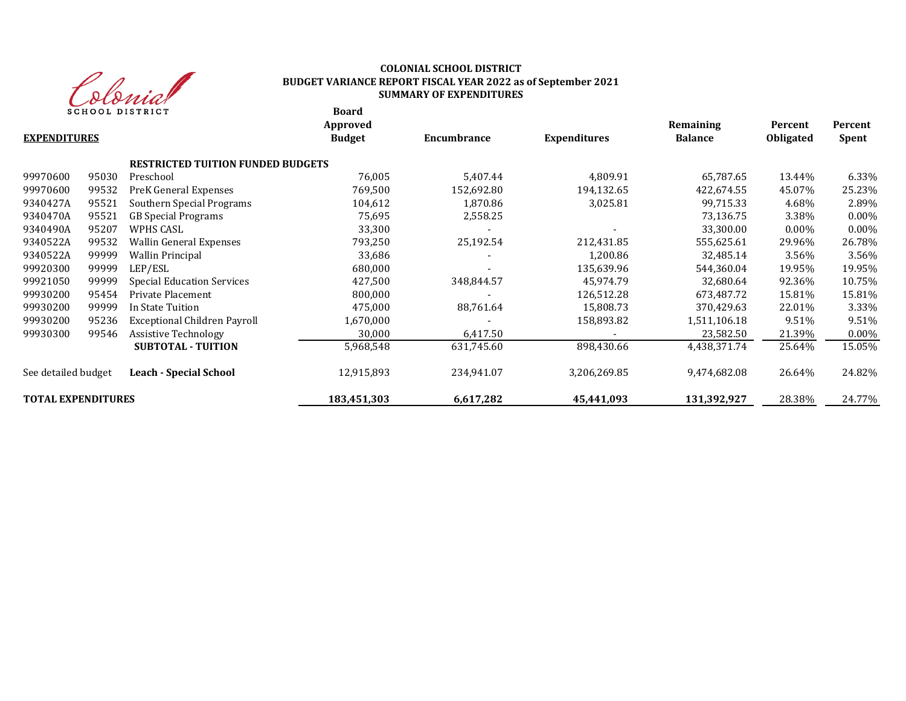

# **COLONIAL SCHOOL DISTRICT BUDGET VARIANCE REPORT FISCAL YEAR 2022 as of September 2021 SUMMARY OF EXPENDITURES**

**Board**

| <b>EXPENDITURES</b>       |       |                                          | Approved<br><b>Budget</b> | Encumbrance | <b>Expenditures</b> | Remaining<br><b>Balance</b> | Percent<br><b>Obligated</b> | Percent<br>Spent |
|---------------------------|-------|------------------------------------------|---------------------------|-------------|---------------------|-----------------------------|-----------------------------|------------------|
|                           |       | <b>RESTRICTED TUITION FUNDED BUDGETS</b> |                           |             |                     |                             |                             |                  |
| 99970600                  | 95030 | Preschool                                | 76,005                    | 5,407.44    | 4,809.91            | 65,787.65                   | 13.44%                      | 6.33%            |
| 99970600                  | 99532 | PreK General Expenses                    | 769,500                   | 152,692.80  | 194,132.65          | 422,674.55                  | 45.07%                      | 25.23%           |
| 9340427A                  | 95521 | Southern Special Programs                | 104,612                   | 1,870.86    | 3,025.81            | 99,715.33                   | 4.68%                       | 2.89%            |
| 9340470A                  | 95521 | <b>GB</b> Special Programs               | 75,695                    | 2,558.25    |                     | 73,136.75                   | 3.38%                       | $0.00\%$         |
| 9340490A                  | 95207 | WPHS CASL                                | 33,300                    |             |                     | 33,300.00                   | $0.00\%$                    | $0.00\%$         |
| 9340522A                  | 99532 | <b>Wallin General Expenses</b>           | 793,250                   | 25,192.54   | 212,431.85          | 555,625.61                  | 29.96%                      | 26.78%           |
| 9340522A                  | 99999 | <b>Wallin Principal</b>                  | 33,686                    |             | 1,200.86            | 32,485.14                   | 3.56%                       | 3.56%            |
| 99920300                  | 99999 | LEP/ESL                                  | 680,000                   |             | 135,639.96          | 544,360.04                  | 19.95%                      | 19.95%           |
| 99921050                  | 99999 | <b>Special Education Services</b>        | 427,500                   | 348,844.57  | 45,974.79           | 32,680.64                   | 92.36%                      | 10.75%           |
| 99930200                  | 95454 | Private Placement                        | 800,000                   |             | 126,512.28          | 673,487.72                  | 15.81%                      | 15.81%           |
| 99930200                  | 99999 | In State Tuition                         | 475,000                   | 88,761.64   | 15,808.73           | 370,429.63                  | 22.01%                      | 3.33%            |
| 99930200                  | 95236 | Exceptional Children Payroll             | 1,670,000                 |             | 158,893.82          | 1,511,106.18                | 9.51%                       | 9.51%            |
| 99930300                  | 99546 | Assistive Technology                     | 30,000                    | 6,417.50    |                     | 23,582.50                   | 21.39%                      | $0.00\%$         |
|                           |       | <b>SUBTOTAL - TUITION</b>                | 5,968,548                 | 631,745.60  | 898,430.66          | 4,438,371.74                | 25.64%                      | 15.05%           |
| See detailed budget       |       | <b>Leach - Special School</b>            | 12,915,893                | 234,941.07  | 3,206,269.85        | 9,474,682.08                | 26.64%                      | 24.82%           |
| <b>TOTAL EXPENDITURES</b> |       |                                          | 183,451,303               | 6,617,282   | 45,441,093          | 131,392,927                 | 28.38%                      | 24.77%           |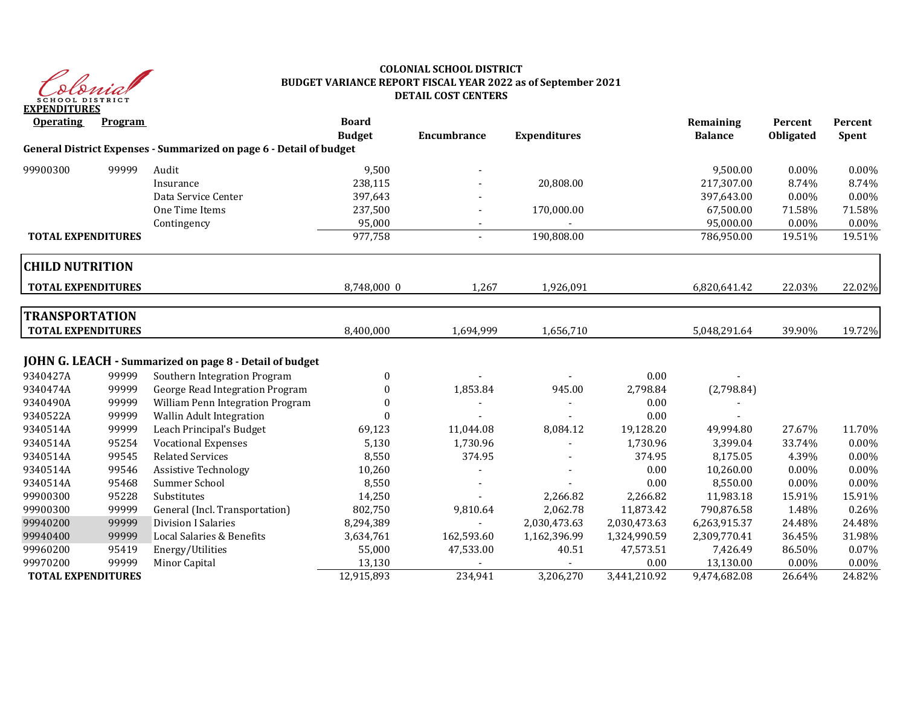

# **COLONIAL SCHOOL DISTRICT BUDGET VARIANCE REPORT FISCAL YEAR 2022 as of September 2021 DETAIL COST CENTERS**

| <b>Operating</b>          | Program |                                                                     | <b>Board</b><br><b>Budget</b> | Encumbrance              | <b>Expenditures</b> |              | Remaining<br><b>Balance</b> | Percent<br><b>Obligated</b> | Percent<br>Spent |
|---------------------------|---------|---------------------------------------------------------------------|-------------------------------|--------------------------|---------------------|--------------|-----------------------------|-----------------------------|------------------|
|                           |         | General District Expenses - Summarized on page 6 - Detail of budget |                               |                          |                     |              |                             |                             |                  |
| 99900300                  | 99999   | Audit                                                               | 9,500                         |                          |                     |              | 9,500.00                    | $0.00\%$                    | 0.00%            |
|                           |         | Insurance                                                           | 238,115                       |                          | 20,808.00           |              | 217,307.00                  | 8.74%                       | 8.74%            |
|                           |         | Data Service Center                                                 | 397,643                       |                          |                     |              | 397,643.00                  | 0.00%                       | 0.00%            |
|                           |         | One Time Items                                                      | 237,500                       |                          | 170,000.00          |              | 67,500.00                   | 71.58%                      | 71.58%           |
|                           |         | Contingency                                                         | 95,000                        |                          |                     |              | 95,000.00                   | 0.00%                       | 0.00%            |
| <b>TOTAL EXPENDITURES</b> |         |                                                                     | 977,758                       | $\overline{\phantom{a}}$ | 190,808.00          |              | 786,950.00                  | 19.51%                      | 19.51%           |
| <b>CHILD NUTRITION</b>    |         |                                                                     |                               |                          |                     |              |                             |                             |                  |
| <b>TOTAL EXPENDITURES</b> |         |                                                                     | 8,748,000 0                   | 1,267                    | 1,926,091           |              | 6,820,641.42                | 22.03%                      | 22.02%           |
| <b>TRANSPORTATION</b>     |         |                                                                     |                               |                          |                     |              |                             |                             |                  |
| <b>TOTAL EXPENDITURES</b> |         |                                                                     | 8,400,000                     |                          |                     |              |                             | 39.90%                      |                  |
|                           |         |                                                                     |                               | 1,694,999                | 1,656,710           |              | 5,048,291.64                |                             | 19.72%           |
|                           |         | JOHN G. LEACH - Summarized on page 8 - Detail of budget             |                               |                          |                     |              |                             |                             |                  |
| 9340427A                  | 99999   | Southern Integration Program                                        | $\bf{0}$                      |                          |                     | 0.00         |                             |                             |                  |
| 9340474A                  | 99999   | George Read Integration Program                                     | $\theta$                      | 1,853.84                 | 945.00              | 2,798.84     | (2,798.84)                  |                             |                  |
| 9340490A                  | 99999   | William Penn Integration Program                                    | $\Omega$                      |                          |                     | 0.00         |                             |                             |                  |
| 9340522A                  | 99999   | Wallin Adult Integration                                            |                               |                          |                     | 0.00         |                             |                             |                  |
| 9340514A                  | 99999   | Leach Principal's Budget                                            | 69,123                        | 11,044.08                | 8,084.12            | 19,128.20    | 49,994.80                   | 27.67%                      | 11.70%           |
| 9340514A                  | 95254   | <b>Vocational Expenses</b>                                          | 5,130                         | 1,730.96                 |                     | 1,730.96     | 3,399.04                    | 33.74%                      | 0.00%            |
| 9340514A                  | 99545   | <b>Related Services</b>                                             | 8,550                         | 374.95                   |                     | 374.95       | 8,175.05                    | 4.39%                       | 0.00%            |
| 9340514A                  | 99546   | <b>Assistive Technology</b>                                         | 10,260                        |                          |                     | 0.00         | 10,260.00                   | $0.00\%$                    | 0.00%            |
| 9340514A                  | 95468   | Summer School                                                       | 8,550                         |                          |                     | 0.00         | 8,550.00                    | $0.00\%$                    | 0.00%            |
| 99900300                  | 95228   | Substitutes                                                         | 14,250                        |                          | 2,266.82            | 2,266.82     | 11,983.18                   | 15.91%                      | 15.91%           |
| 99900300                  | 99999   | General (Incl. Transportation)                                      | 802,750                       | 9,810.64                 | 2,062.78            | 11,873.42    | 790,876.58                  | 1.48%                       | 0.26%            |
| 99940200                  | 99999   | <b>Division I Salaries</b>                                          | 8,294,389                     |                          | 2,030,473.63        | 2,030,473.63 | 6,263,915.37                | 24.48%                      | 24.48%           |
| 99940400                  | 99999   | Local Salaries & Benefits                                           | 3,634,761                     | 162,593.60               | 1,162,396.99        | 1,324,990.59 | 2,309,770.41                | 36.45%                      | 31.98%           |
| 99960200                  | 95419   | Energy/Utilities                                                    | 55,000                        | 47,533.00                | 40.51               | 47,573.51    | 7,426.49                    | 86.50%                      | 0.07%            |
| 99970200                  | 99999   | Minor Capital                                                       | 13,130                        |                          |                     | 0.00         | 13,130.00                   | 0.00%                       | 0.00%            |
| <b>TOTAL EXPENDITURES</b> |         |                                                                     | 12,915,893                    | 234,941                  | 3,206,270           | 3,441,210.92 | 9,474,682.08                | 26.64%                      | 24.82%           |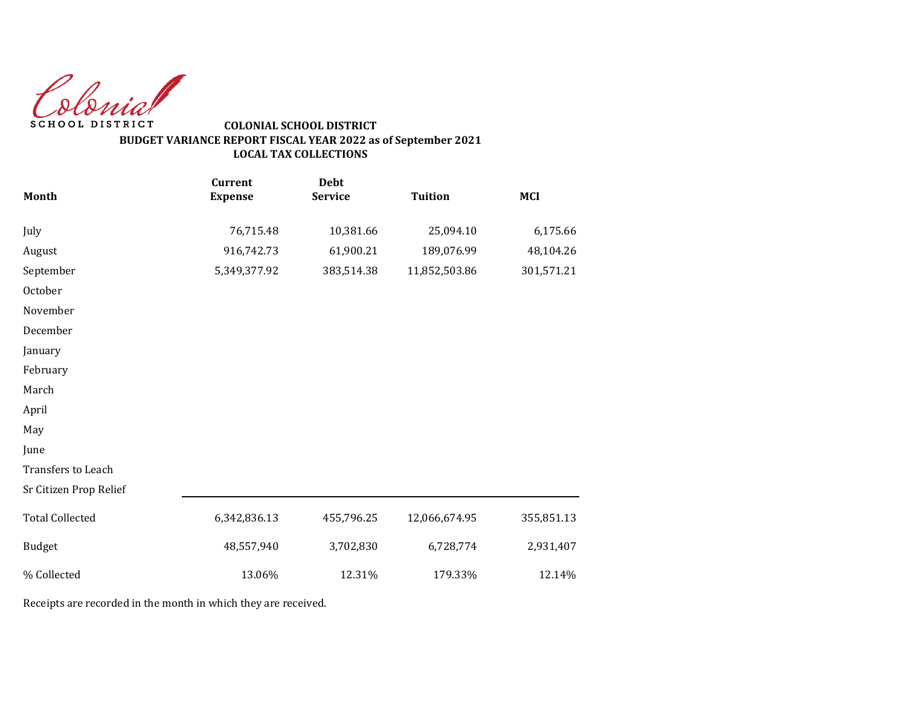Colonial SCHOOL DISTRICT

# **COLONIAL SCHOOL DISTRICT BUDGET VARIANCE REPORT FISCAL YEAR 2022 as of September 2021 LOCAL TAX COLLECTIONS**

|                        | <b>Current</b> | <b>Debt</b>    |                |            |
|------------------------|----------------|----------------|----------------|------------|
| Month                  | <b>Expense</b> | <b>Service</b> | <b>Tuition</b> | <b>MCI</b> |
| July                   | 76,715.48      | 10,381.66      | 25,094.10      | 6,175.66   |
| August                 | 916,742.73     | 61,900.21      | 189,076.99     | 48,104.26  |
| September              | 5,349,377.92   | 383,514.38     | 11,852,503.86  | 301,571.21 |
| October                |                |                |                |            |
| November               |                |                |                |            |
| December               |                |                |                |            |
| January                |                |                |                |            |
| February               |                |                |                |            |
| March                  |                |                |                |            |
| April                  |                |                |                |            |
| May                    |                |                |                |            |
| June                   |                |                |                |            |
| Transfers to Leach     |                |                |                |            |
| Sr Citizen Prop Relief |                |                |                |            |
| <b>Total Collected</b> | 6,342,836.13   | 455,796.25     | 12,066,674.95  | 355,851.13 |
| <b>Budget</b>          | 48,557,940     | 3,702,830      | 6,728,774      | 2,931,407  |
| % Collected            | 13.06%         | 12.31%         | 179.33%        | 12.14%     |

Receipts are recorded in the month in which they are received.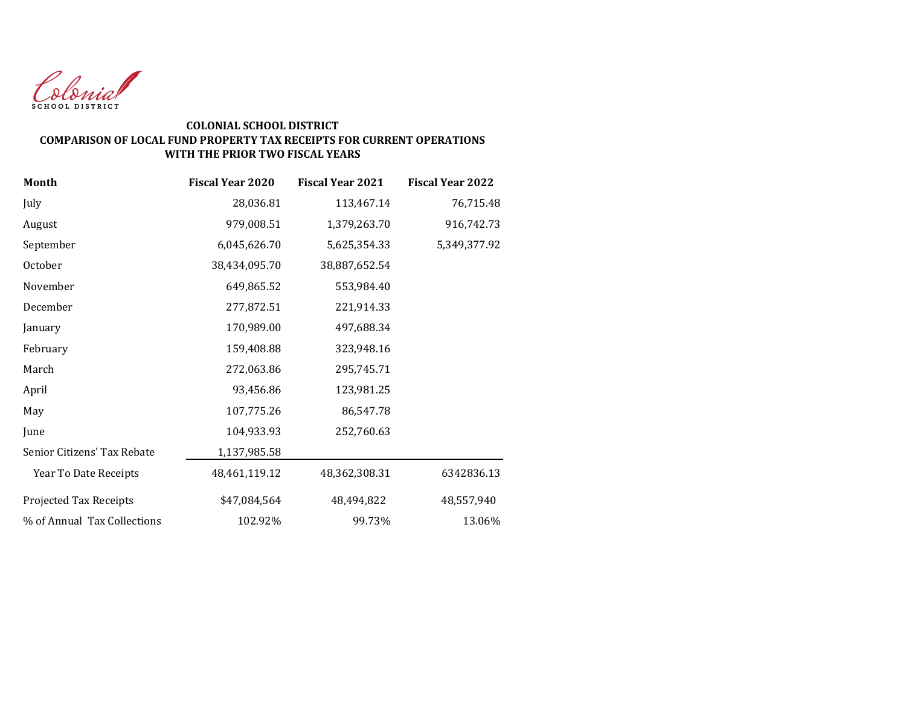

### **COLONIAL SCHOOL DISTRICT COMPARISON OF LOCAL FUND PROPERTY TAX RECEIPTS FOR CURRENT OPERATIONS WITH THE PRIOR TWO FISCAL YEARS**

| <b>Month</b>                | <b>Fiscal Year 2020</b> | <b>Fiscal Year 2021</b> | <b>Fiscal Year 2022</b> |
|-----------------------------|-------------------------|-------------------------|-------------------------|
| July                        | 28,036.81               | 113,467.14              | 76,715.48               |
| August                      | 979,008.51              | 1,379,263.70            | 916,742.73              |
| September                   | 6,045,626.70            | 5,625,354.33            | 5,349,377.92            |
| October                     | 38,434,095.70           | 38,887,652.54           |                         |
| November                    | 649,865.52              | 553,984.40              |                         |
| December                    | 277,872.51              | 221,914.33              |                         |
| January                     | 170,989.00              | 497,688.34              |                         |
| February                    | 159,408.88              | 323,948.16              |                         |
| March                       | 272,063.86              | 295,745.71              |                         |
| April                       | 93,456.86               | 123,981.25              |                         |
| May                         | 107,775.26              | 86,547.78               |                         |
| June                        | 104,933.93              | 252,760.63              |                         |
| Senior Citizens' Tax Rebate | 1,137,985.58            |                         |                         |
| Year To Date Receipts       | 48,461,119.12           | 48,362,308.31           | 6342836.13              |
| Projected Tax Receipts      | \$47,084,564            | 48,494,822              | 48,557,940              |
| % of Annual Tax Collections | 102.92%                 | 99.73%                  | 13.06%                  |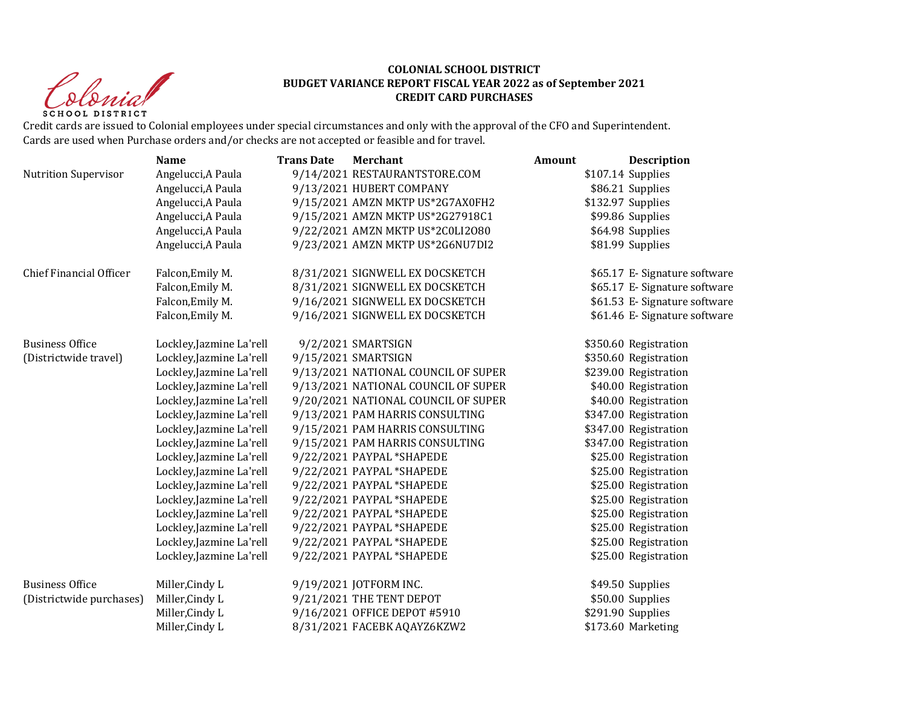Christ **SCHOOL DISTRICT** 

#### **COLONIAL SCHOOL DISTRICT BUDGET VARIANCE REPORT FISCAL YEAR 2022 as of September 2021 CREDIT CARD PURCHASES**

Credit cards are issued to Colonial employees under special circumstances and only with the approval of the CFO and Superintendent. Cards are used when Purchase orders and/or checks are not accepted or feasible and for travel.

|                                | <b>Name</b>              | <b>Trans Date</b> | <b>Merchant</b>                     | Amount | <b>Description</b>            |
|--------------------------------|--------------------------|-------------------|-------------------------------------|--------|-------------------------------|
| <b>Nutrition Supervisor</b>    | Angelucci, A Paula       |                   | 9/14/2021 RESTAURANTSTORE.COM       |        | \$107.14 Supplies             |
|                                | Angelucci, A Paula       |                   | 9/13/2021 HUBERT COMPANY            |        | \$86.21 Supplies              |
|                                | Angelucci, A Paula       |                   | 9/15/2021 AMZN MKTP US*2G7AX0FH2    |        | \$132.97 Supplies             |
|                                | Angelucci, A Paula       |                   | 9/15/2021 AMZN MKTP US*2G27918C1    |        | \$99.86 Supplies              |
|                                | Angelucci, A Paula       |                   | 9/22/2021 AMZN MKTP US*2C0LI2080    |        | \$64.98 Supplies              |
|                                | Angelucci, A Paula       |                   | 9/23/2021 AMZN MKTP US*2G6NU7DI2    |        | \$81.99 Supplies              |
| <b>Chief Financial Officer</b> | Falcon, Emily M.         |                   | 8/31/2021 SIGNWELL EX DOCSKETCH     |        | \$65.17 E- Signature software |
|                                | Falcon, Emily M.         |                   | 8/31/2021 SIGNWELL EX DOCSKETCH     |        | \$65.17 E- Signature software |
|                                | Falcon, Emily M.         |                   | 9/16/2021 SIGNWELL EX DOCSKETCH     |        | \$61.53 E- Signature software |
|                                | Falcon, Emily M.         |                   | 9/16/2021 SIGNWELL EX DOCSKETCH     |        | \$61.46 E- Signature software |
| <b>Business Office</b>         | Lockley, Jazmine La'rell |                   | 9/2/2021 SMARTSIGN                  |        | \$350.60 Registration         |
| (Districtwide travel)          | Lockley, Jazmine La'rell |                   | 9/15/2021 SMARTSIGN                 |        | \$350.60 Registration         |
|                                | Lockley, Jazmine La'rell |                   | 9/13/2021 NATIONAL COUNCIL OF SUPER |        | \$239.00 Registration         |
|                                | Lockley, Jazmine La'rell |                   | 9/13/2021 NATIONAL COUNCIL OF SUPER |        | \$40.00 Registration          |
|                                | Lockley, Jazmine La'rell |                   | 9/20/2021 NATIONAL COUNCIL OF SUPER |        | \$40.00 Registration          |
|                                | Lockley, Jazmine La'rell |                   | 9/13/2021 PAM HARRIS CONSULTING     |        | \$347.00 Registration         |
|                                | Lockley, Jazmine La'rell |                   | 9/15/2021 PAM HARRIS CONSULTING     |        | \$347.00 Registration         |
|                                | Lockley, Jazmine La'rell |                   | 9/15/2021 PAM HARRIS CONSULTING     |        | \$347.00 Registration         |
|                                | Lockley, Jazmine La'rell |                   | 9/22/2021 PAYPAL *SHAPEDE           |        | \$25.00 Registration          |
|                                | Lockley, Jazmine La'rell |                   | 9/22/2021 PAYPAL *SHAPEDE           |        | \$25.00 Registration          |
|                                | Lockley, Jazmine La'rell |                   | 9/22/2021 PAYPAL *SHAPEDE           |        | \$25.00 Registration          |
|                                | Lockley, Jazmine La'rell |                   | 9/22/2021 PAYPAL *SHAPEDE           |        | \$25.00 Registration          |
|                                | Lockley, Jazmine La'rell |                   | 9/22/2021 PAYPAL *SHAPEDE           |        | \$25.00 Registration          |
|                                | Lockley, Jazmine La'rell |                   | 9/22/2021 PAYPAL *SHAPEDE           |        | \$25.00 Registration          |
|                                | Lockley, Jazmine La'rell |                   | 9/22/2021 PAYPAL *SHAPEDE           |        | \$25.00 Registration          |
|                                | Lockley, Jazmine La'rell |                   | 9/22/2021 PAYPAL *SHAPEDE           |        | \$25.00 Registration          |
| <b>Business Office</b>         | Miller, Cindy L          |                   | 9/19/2021 JOTFORM INC.              |        | \$49.50 Supplies              |
| (Districtwide purchases)       | Miller, Cindy L          |                   | 9/21/2021 THE TENT DEPOT            |        | \$50.00 Supplies              |
|                                | Miller, Cindy L          |                   | 9/16/2021 OFFICE DEPOT #5910        |        | \$291.90 Supplies             |
|                                | Miller, Cindy L          |                   | 8/31/2021 FACEBK AQAYZ6KZW2         |        | \$173.60 Marketing            |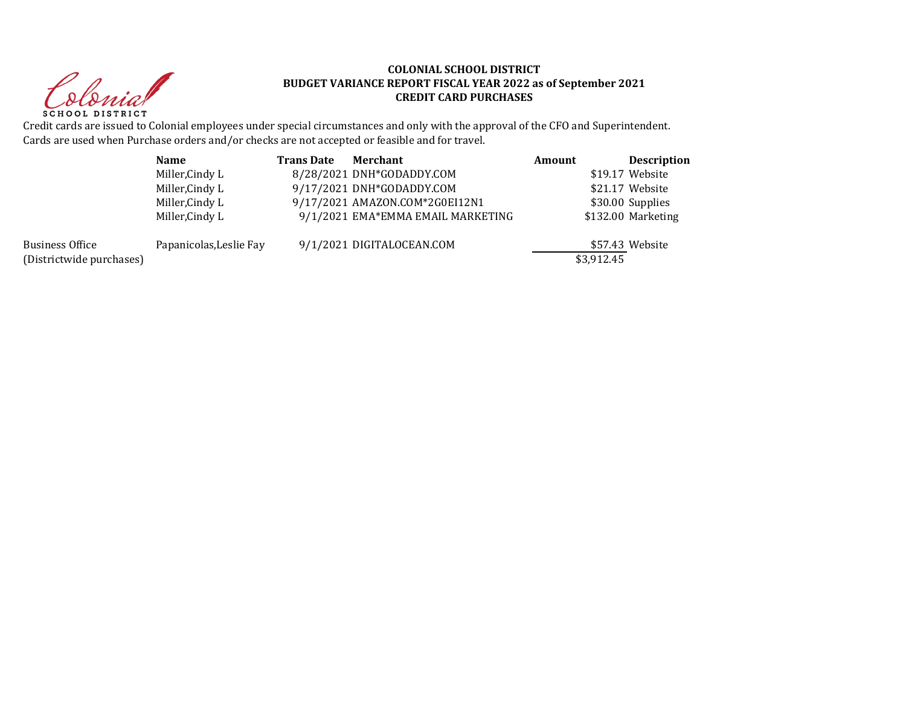Christ **SCHOOL DISTRICT** 

#### **COLONIAL SCHOOL DISTRICT BUDGET VARIANCE REPORT FISCAL YEAR 2022 as of September 2021 CREDIT CARD PURCHASES**

Credit cards are issued to Colonial employees under special circumstances and only with the approval of the CFO and Superintendent. Cards are used when Purchase orders and/or checks are not accepted or feasible and for travel.

|                                             | <b>Name</b>             | <b>Trans Date</b> | Merchant                          | Amount     | <b>Description</b> |
|---------------------------------------------|-------------------------|-------------------|-----------------------------------|------------|--------------------|
|                                             | Miller, Cindy L         |                   | 8/28/2021 DNH*GODADDY.COM         |            | \$19.17 Website    |
|                                             | Miller, Cindy L         |                   | 9/17/2021 DNH*GODADDY.COM         |            | \$21.17 Website    |
|                                             | Miller, Cindy L         |                   | 9/17/2021 AMAZON.COM*2G0EI12N1    |            | \$30.00 Supplies   |
|                                             | Miller, Cindy L         |                   | 9/1/2021 EMA*EMMA EMAIL MARKETING |            | \$132.00 Marketing |
| Business Office<br>(Districtwide purchases) | Papanicolas, Leslie Fay |                   | 9/1/2021 DIGITALOCEAN.COM         | \$3,912.45 | \$57.43 Website    |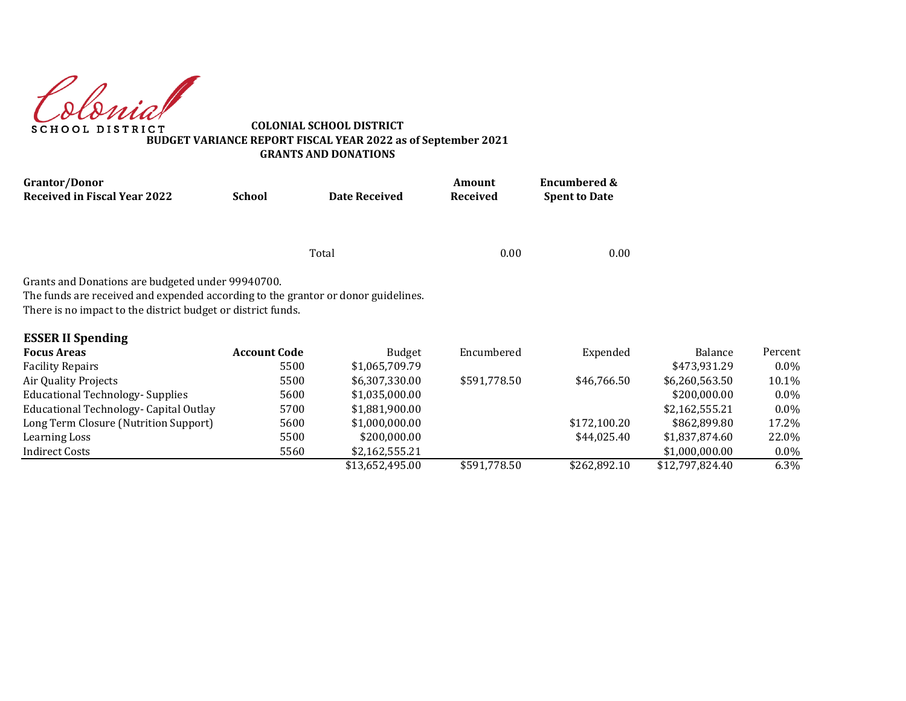Colonial

**COLONIAL SCHOOL DISTRICT BUDGET VARIANCE REPORT FISCAL YEAR 2022 as of September 2021 GRANTS AND DONATIONS**

| Grantor/Donor                                                                     |                     |                      | Amount          | <b>Encumbered &amp;</b> |                 |         |
|-----------------------------------------------------------------------------------|---------------------|----------------------|-----------------|-------------------------|-----------------|---------|
| <b>Received in Fiscal Year 2022</b>                                               | <b>School</b>       | <b>Date Received</b> | <b>Received</b> | <b>Spent to Date</b>    |                 |         |
|                                                                                   |                     |                      |                 |                         |                 |         |
|                                                                                   |                     | Total                | 0.00            | 0.00                    |                 |         |
| Grants and Donations are budgeted under 99940700.                                 |                     |                      |                 |                         |                 |         |
| The funds are received and expended according to the grantor or donor guidelines. |                     |                      |                 |                         |                 |         |
| There is no impact to the district budget or district funds.                      |                     |                      |                 |                         |                 |         |
| <b>ESSER II Spending</b>                                                          |                     |                      |                 |                         |                 |         |
| <b>Focus Areas</b>                                                                | <b>Account Code</b> | <b>Budget</b>        | Encumbered      | Expended                | Balance         | Percent |
| <b>Facility Repairs</b>                                                           | 5500                | \$1,065,709.79       |                 |                         | \$473,931.29    | $0.0\%$ |
| Air Quality Projects                                                              | 5500                | \$6,307,330.00       | \$591,778.50    | \$46,766.50             | \$6,260,563.50  | 10.1%   |
| <b>Educational Technology- Supplies</b>                                           | 5600                | \$1,035,000.00       |                 |                         | \$200,000.00    | $0.0\%$ |
| Educational Technology- Capital Outlay                                            | 5700                | \$1,881,900.00       |                 |                         | \$2,162,555.21  | $0.0\%$ |
| Long Term Closure (Nutrition Support)                                             | 5600                | \$1,000,000.00       |                 | \$172,100.20            | \$862,899.80    | 17.2%   |
| Learning Loss                                                                     | 5500                | \$200,000.00         |                 | \$44,025.40             | \$1,837,874.60  | 22.0%   |
| <b>Indirect Costs</b>                                                             | 5560                | \$2,162,555.21       |                 |                         | \$1,000,000.00  | $0.0\%$ |
|                                                                                   |                     | \$13,652,495.00      | \$591,778.50    | \$262,892.10            | \$12,797,824.40 | 6.3%    |